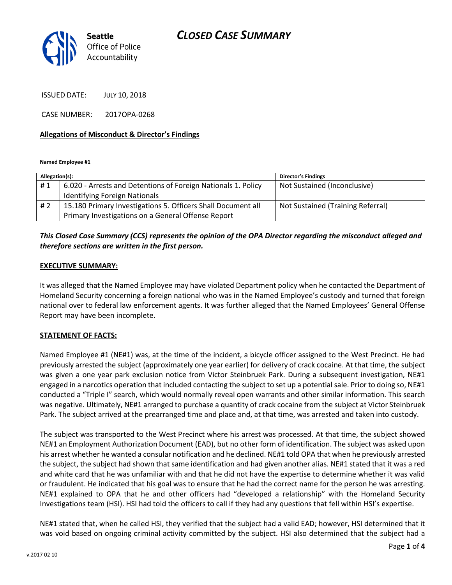

ISSUED DATE: JULY 10, 2018

CASE NUMBER: 2017OPA-0268

### **Allegations of Misconduct & Director's Findings**

**Named Employee #1**

| Allegation(s): |                                                               | <b>Director's Findings</b>        |
|----------------|---------------------------------------------------------------|-----------------------------------|
| #1             | 6.020 - Arrests and Detentions of Foreign Nationals 1. Policy | Not Sustained (Inconclusive)      |
|                | <b>Identifying Foreign Nationals</b>                          |                                   |
| #2             | 15.180 Primary Investigations 5. Officers Shall Document all  | Not Sustained (Training Referral) |
|                | Primary Investigations on a General Offense Report            |                                   |

## *This Closed Case Summary (CCS) represents the opinion of the OPA Director regarding the misconduct alleged and therefore sections are written in the first person.*

#### **EXECUTIVE SUMMARY:**

It was alleged that the Named Employee may have violated Department policy when he contacted the Department of Homeland Security concerning a foreign national who was in the Named Employee's custody and turned that foreign national over to federal law enforcement agents. It was further alleged that the Named Employees' General Offense Report may have been incomplete.

### **STATEMENT OF FACTS:**

Named Employee #1 (NE#1) was, at the time of the incident, a bicycle officer assigned to the West Precinct. He had previously arrested the subject (approximately one year earlier) for delivery of crack cocaine. At that time, the subject was given a one year park exclusion notice from Victor Steinbruek Park. During a subsequent investigation, NE#1 engaged in a narcotics operation that included contacting the subject to set up a potential sale. Prior to doing so, NE#1 conducted a "Triple I" search, which would normally reveal open warrants and other similar information. This search was negative. Ultimately, NE#1 arranged to purchase a quantity of crack cocaine from the subject at Victor Steinbruek Park. The subject arrived at the prearranged time and place and, at that time, was arrested and taken into custody.

The subject was transported to the West Precinct where his arrest was processed. At that time, the subject showed NE#1 an Employment Authorization Document (EAD), but no other form of identification. The subject was asked upon his arrest whether he wanted a consular notification and he declined. NE#1 told OPA that when he previously arrested the subject, the subject had shown that same identification and had given another alias. NE#1 stated that it was a red and white card that he was unfamiliar with and that he did not have the expertise to determine whether it was valid or fraudulent. He indicated that his goal was to ensure that he had the correct name for the person he was arresting. NE#1 explained to OPA that he and other officers had "developed a relationship" with the Homeland Security Investigations team (HSI). HSI had told the officers to call if they had any questions that fell within HSI's expertise.

NE#1 stated that, when he called HSI, they verified that the subject had a valid EAD; however, HSI determined that it was void based on ongoing criminal activity committed by the subject. HSI also determined that the subject had a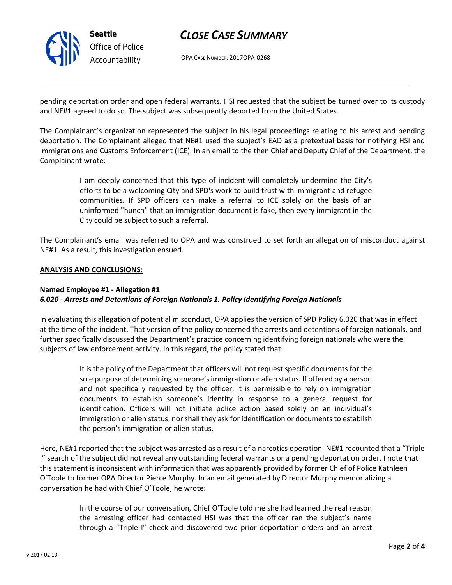

# *CLOSE CASE SUMMARY*

OPA CASE NUMBER: 2017OPA-0268

pending deportation order and open federal warrants. HSI requested that the subject be turned over to its custody and NE#1 agreed to do so. The subject was subsequently deported from the United States.

The Complainant's organization represented the subject in his legal proceedings relating to his arrest and pending deportation. The Complainant alleged that NE#1 used the subject's EAD as a pretextual basis for notifying HSI and Immigrations and Customs Enforcement (ICE). In an email to the then Chief and Deputy Chief of the Department, the Complainant wrote:

> I am deeply concerned that this type of incident will completely undermine the City's efforts to be a welcoming City and SPD's work to build trust with immigrant and refugee communities. If SPD officers can make a referral to ICE solely on the basis of an uninformed "hunch" that an immigration document is fake, then every immigrant in the City could be subject to such a referral.

The Complainant's email was referred to OPA and was construed to set forth an allegation of misconduct against NE#1. As a result, this investigation ensued.

#### **ANALYSIS AND CONCLUSIONS:**

## **Named Employee #1 - Allegation #1** *6.020 - Arrests and Detentions of Foreign Nationals 1. Policy Identifying Foreign Nationals*

In evaluating this allegation of potential misconduct, OPA applies the version of SPD Policy 6.020 that was in effect at the time of the incident. That version of the policy concerned the arrests and detentions of foreign nationals, and further specifically discussed the Department's practice concerning identifying foreign nationals who were the subjects of law enforcement activity. In this regard, the policy stated that:

> It is the policy of the Department that officers will not request specific documents for the sole purpose of determining someone's immigration or alien status. If offered by a person and not specifically requested by the officer, it is permissible to rely on immigration documents to establish someone's identity in response to a general request for identification. Officers will not initiate police action based solely on an individual's immigration or alien status, nor shall they ask for identification or documents to establish the person's immigration or alien status.

Here, NE#1 reported that the subject was arrested as a result of a narcotics operation. NE#1 recounted that a "Triple I" search of the subject did not reveal any outstanding federal warrants or a pending deportation order. I note that this statement is inconsistent with information that was apparently provided by former Chief of Police Kathleen O'Toole to former OPA Director Pierce Murphy. In an email generated by Director Murphy memorializing a conversation he had with Chief O'Toole, he wrote:

> In the course of our conversation, Chief O'Toole told me she had learned the real reason the arresting officer had contacted HSI was that the officer ran the subject's name through a "Triple I" check and discovered two prior deportation orders and an arrest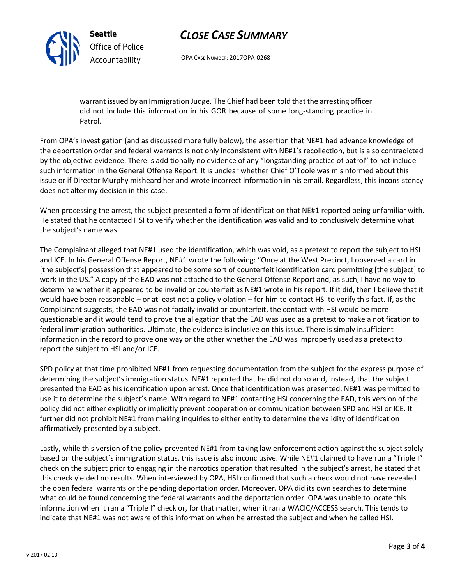# *CLOSE CASE SUMMARY*

OPA CASE NUMBER: 2017OPA-0268

warrant issued by an Immigration Judge. The Chief had been told that the arresting officer did not include this information in his GOR because of some long-standing practice in Patrol.

From OPA's investigation (and as discussed more fully below), the assertion that NE#1 had advance knowledge of the deportation order and federal warrants is not only inconsistent with NE#1's recollection, but is also contradicted by the objective evidence. There is additionally no evidence of any "longstanding practice of patrol" to not include such information in the General Offense Report. It is unclear whether Chief O'Toole was misinformed about this issue or if Director Murphy misheard her and wrote incorrect information in his email. Regardless, this inconsistency does not alter my decision in this case.

When processing the arrest, the subject presented a form of identification that NE#1 reported being unfamiliar with. He stated that he contacted HSI to verify whether the identification was valid and to conclusively determine what the subject's name was.

The Complainant alleged that NE#1 used the identification, which was void, as a pretext to report the subject to HSI and ICE. In his General Offense Report, NE#1 wrote the following: "Once at the West Precinct, I observed a card in [the subject's] possession that appeared to be some sort of counterfeit identification card permitting [the subject] to work in the US." A copy of the EAD was not attached to the General Offense Report and, as such, I have no way to determine whether it appeared to be invalid or counterfeit as NE#1 wrote in his report. If it did, then I believe that it would have been reasonable – or at least not a policy violation – for him to contact HSI to verify this fact. If, as the Complainant suggests, the EAD was not facially invalid or counterfeit, the contact with HSI would be more questionable and it would tend to prove the allegation that the EAD was used as a pretext to make a notification to federal immigration authorities. Ultimate, the evidence is inclusive on this issue. There is simply insufficient information in the record to prove one way or the other whether the EAD was improperly used as a pretext to report the subject to HSI and/or ICE.

SPD policy at that time prohibited NE#1 from requesting documentation from the subject for the express purpose of determining the subject's immigration status. NE#1 reported that he did not do so and, instead, that the subject presented the EAD as his identification upon arrest. Once that identification was presented, NE#1 was permitted to use it to determine the subject's name. With regard to NE#1 contacting HSI concerning the EAD, this version of the policy did not either explicitly or implicitly prevent cooperation or communication between SPD and HSI or ICE. It further did not prohibit NE#1 from making inquiries to either entity to determine the validity of identification affirmatively presented by a subject.

Lastly, while this version of the policy prevented NE#1 from taking law enforcement action against the subject solely based on the subject's immigration status, this issue is also inconclusive. While NE#1 claimed to have run a "Triple I" check on the subject prior to engaging in the narcotics operation that resulted in the subject's arrest, he stated that this check yielded no results. When interviewed by OPA, HSI confirmed that such a check would not have revealed the open federal warrants or the pending deportation order. Moreover, OPA did its own searches to determine what could be found concerning the federal warrants and the deportation order. OPA was unable to locate this information when it ran a "Triple I" check or, for that matter, when it ran a WACIC/ACCESS search. This tends to indicate that NE#1 was not aware of this information when he arrested the subject and when he called HSI.



**Seattle**

*Office of Police Accountability*